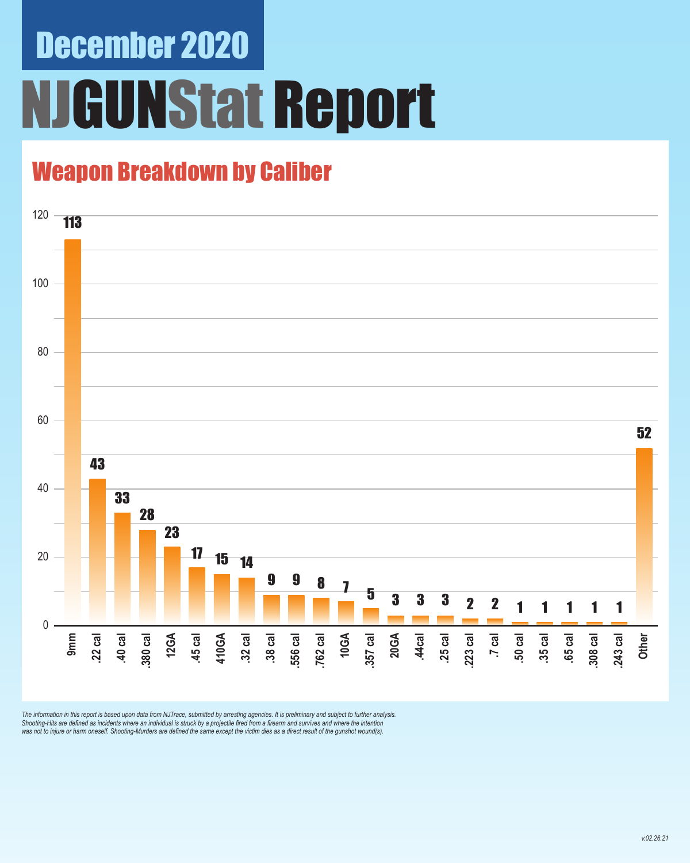# December 2020 **GUNStat Report**

#### Weapon Breakdown by Caliber



The information in this report is based upon data from NJTrace, submitted by arresting agencies. It is preliminary and subject to further analysis.<br>Shooting-Hits are defined as incidents where an individual is struck by a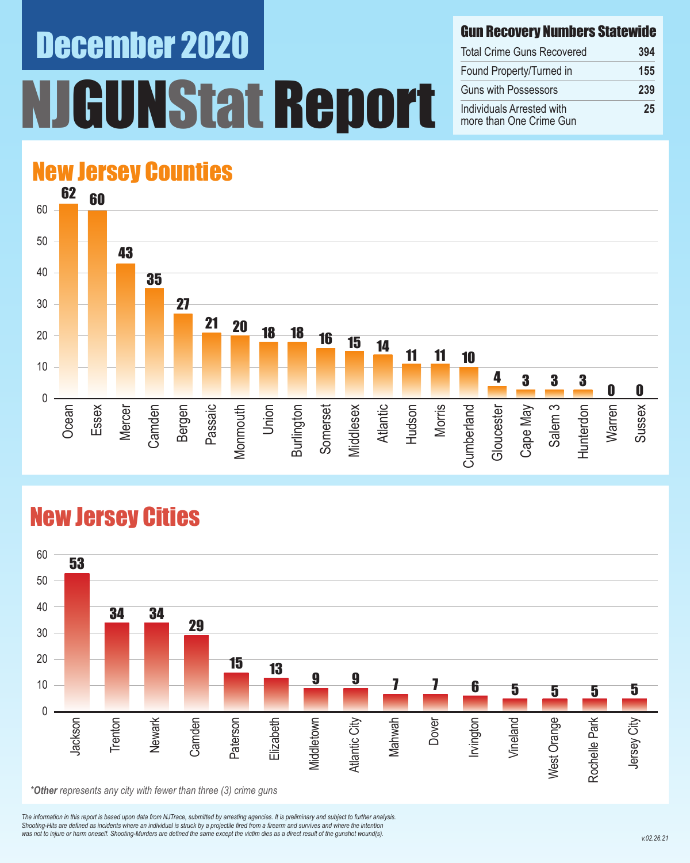# December 2020 NJGUNStat Report

Gun Recovery Numbers Statewide

| <b>Total Crime Guns Recovered</b><br>Found Property/Turned in<br><b>Guns with Possessors</b> | 394 |
|----------------------------------------------------------------------------------------------|-----|
|                                                                                              | 155 |
|                                                                                              | 239 |
| Individuals Arrested with<br>more than One Crime Gun                                         | 25  |

### New Jersey Counties



#### New Jersey Cities



*The information in this report is based upon data from NJTrace, submitted by arresting agencies. It is preliminary and subject to further analysis. Shooting-Hits are defined as incidents where an individual is struck by a projectile fired from a firearm and survives and where the intention*  was not to injure or harm oneself. Shooting-Murders are defined the same except the victim dies as a direct result of the gunshot wound(s).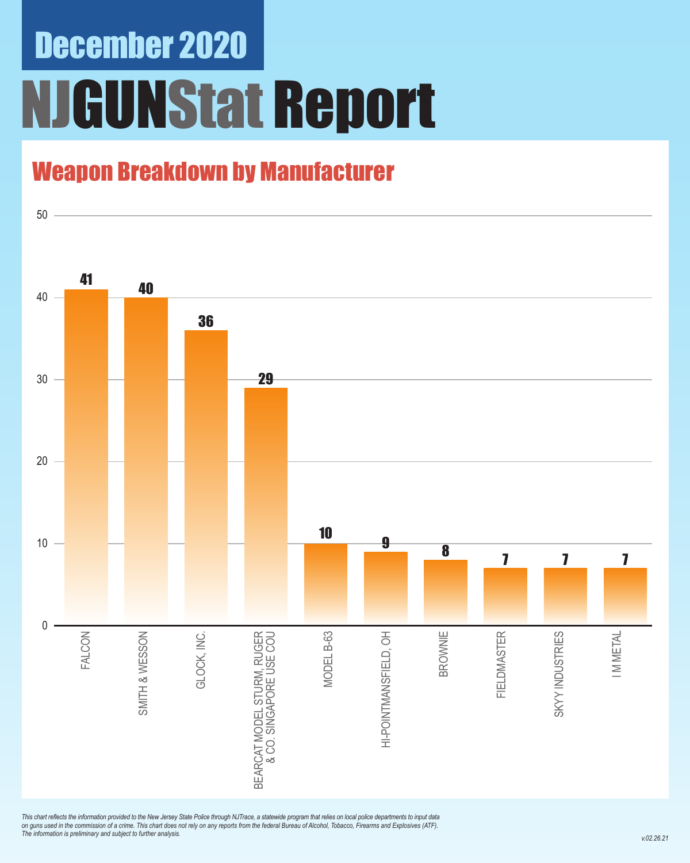## December 2020 NJGUNStat Report

#### Weapon Breakdown by Manufacturer



*This chart reflects the information provided to the New Jersey State Police through NJTrace, a statewide program that relies on local police departments to input data on guns used in the commission of a crime. This chart does not rely on any reports from the federal Bureau of Alcohol, Tobacco, Firearms and Explosives (ATF). The information is preliminary and subject to further analysis.*